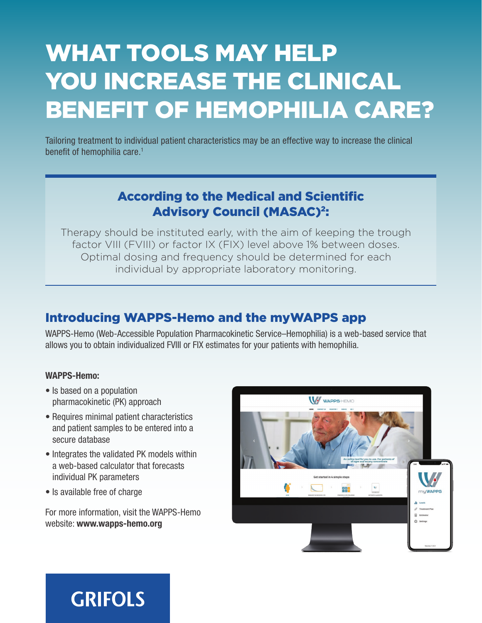# WHAT TOOLS MAY HELP YOU INCREASE THE CLINICAL BENEFIT OF HEMOPHILIA CARE?

Tailoring treatment to individual patient characteristics may be an effective way to increase the clinical benefit of hemophilia care.<sup>1</sup>

### According to the Medical and Scientific Advisory Council (MASAC)2:

Therapy should be instituted early, with the aim of keeping the trough factor VIII (FVIII) or factor IX (FIX) level above 1% between doses. Optimal dosing and frequency should be determined for each individual by appropriate laboratory monitoring.

### Introducing WAPPS-Hemo and the myWAPPS app

WAPPS-Hemo (Web-Accessible Population Pharmacokinetic Service–Hemophilia) is a web-based service that allows you to obtain individualized FVIII or FIX estimates for your patients with hemophilia.

#### WAPPS-Hemo:

- Is based on a population pharmacokinetic (PK) approach
- Requires minimal patient characteristics and patient samples to be entered into a secure database
- Integrates the validated PK models within a web-based calculator that forecasts individual PK parameters
- Is available free of charge

For more information, visit the WAPPS-Hemo website: www.wapps-hemo.org



## **GRIFOLS**